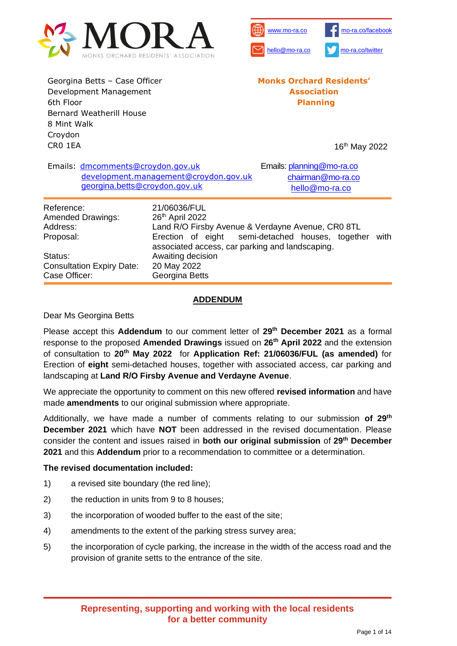



Georgina Betts – Case Officer Development Management 6th Floor Bernard Weatherill House 8 Mint Walk Croydon CR0 1EA

**Monks Orchard Residents' Association Planning**

16 th May 2022

|                                                                 | Emails: dmcomments@croydon.gov.uk<br>georgina.betts@croydon.gov.uk | development.management@croydon.gov.uk                                                          | Emails: planning@mo-ra.co<br>chairman@mo-ra.co<br>hello@mo-ra.co                                              |  |  |  |  |
|-----------------------------------------------------------------|--------------------------------------------------------------------|------------------------------------------------------------------------------------------------|---------------------------------------------------------------------------------------------------------------|--|--|--|--|
| Reference:<br><b>Amended Drawings:</b><br>Address:<br>Proposal: |                                                                    | 21/06036/FUL<br>26 <sup>th</sup> April 2022<br>associated access, car parking and landscaping. | Land R/O Firsby Avenue & Verdayne Avenue, CR0 8TL<br>Erection of eight semi-detached houses, together<br>with |  |  |  |  |
| Status:<br>Case Officer:                                        | <b>Consultation Expiry Date:</b>                                   | Awaiting decision<br>20 May 2022<br>Georgina Betts                                             |                                                                                                               |  |  |  |  |

### **ADDENDUM**

### Dear Ms Georgina Betts

Please accept this **Addendum** to our comment letter of **29th December 2021** as a formal response to the proposed **Amended Drawings** issued on **26th April 2022** and the extension of consultation to **20th May 2022** for **Application Ref: 21/06036/FUL (as amended)** for Erection of **eight** semi-detached houses, together with associated access, car parking and landscaping at **Land R/O Firsby Avenue and Verdayne Avenue**.

We appreciate the opportunity to comment on this new offered **revised information** and have made **amendments** to our original submission where appropriate.

Additionally, we have made a number of comments relating to our submission **of 29th December 2021** which have **NOT** been addressed in the revised documentation. Please consider the content and issues raised in **both our original submission** of **29th December 2021** and this **Addendum** prior to a recommendation to committee or a determination.

### **The revised documentation included:**

- 1) a revised site boundary (the red line);
- 2) the reduction in units from 9 to 8 houses;
- 3) the incorporation of wooded buffer to the east of the site;
- 4) amendments to the extent of the parking stress survey area;
- 5) the incorporation of cycle parking, the increase in the width of the access road and the provision of granite setts to the entrance of the site.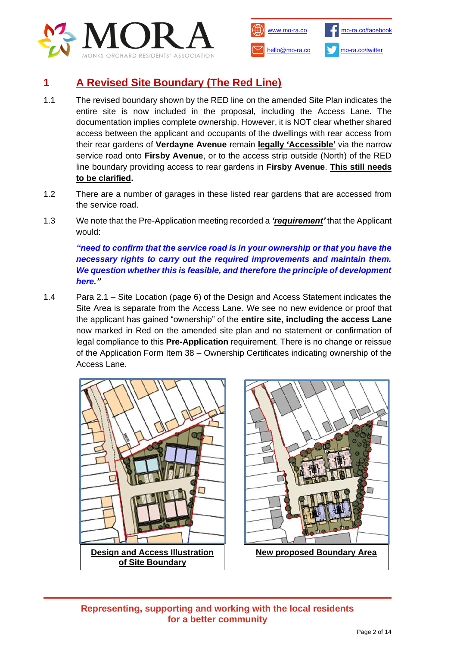



# **1 A Revised Site Boundary (The Red Line)**

- 1.1 The revised boundary shown by the RED line on the amended Site Plan indicates the entire site is now included in the proposal, including the Access Lane. The documentation implies complete ownership. However, it is NOT clear whether shared access between the applicant and occupants of the dwellings with rear access from their rear gardens of **Verdayne Avenue** remain **legally 'Accessible'** via the narrow service road onto **Firsby Avenue**, or to the access strip outside (North) of the RED line boundary providing access to rear gardens in **Firsby Avenue**. **This still needs to be clarified.**
- 1.2 There are a number of garages in these listed rear gardens that are accessed from the service road.
- 1.3 We note that the Pre-Application meeting recorded a *'requirement'* that the Applicant would:

*"need to confirm that the service road is in your ownership or that you have the necessary rights to carry out the required improvements and maintain them. We question whether this is feasible, and therefore the principle of development here."*

1.4 Para 2.1 – Site Location (page 6) of the Design and Access Statement indicates the Site Area is separate from the Access Lane. We see no new evidence or proof that the applicant has gained "ownership" of the **entire site, including the access Lane**  now marked in Red on the amended site plan and no statement or confirmation of legal compliance to this **Pre-Application** requirement. There is no change or reissue of the Application Form Item 38 – Ownership Certificates indicating ownership of the Access Lane.





**Representing, supporting and working with the local residents for a better community**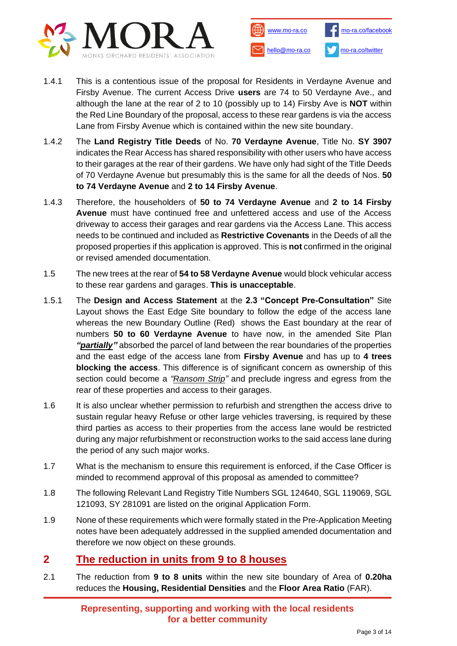



- 1.4.1 This is a contentious issue of the proposal for Residents in Verdayne Avenue and Firsby Avenue. The current Access Drive **users** are 74 to 50 Verdayne Ave., and although the lane at the rear of 2 to 10 (possibly up to 14) Firsby Ave is **NOT** within the Red Line Boundary of the proposal, access to these rear gardens is via the access Lane from Firsby Avenue which is contained within the new site boundary.
- 1.4.2 The **Land Registry Title Deeds** of No. **70 Verdayne Avenue**, Title No. **SY 3907** indicates the Rear Access has shared responsibility with other users who have access to their garages at the rear of their gardens. We have only had sight of the Title Deeds of 70 Verdayne Avenue but presumably this is the same for all the deeds of Nos. **50 to 74 Verdayne Avenue** and **2 to 14 Firsby Avenue**.
- 1.4.3 Therefore, the householders of **50 to 74 Verdayne Avenue** and **2 to 14 Firsby Avenue** must have continued free and unfettered access and use of the Access driveway to access their garages and rear gardens via the Access Lane. This access needs to be continued and included as **Restrictive Covenants** in the Deeds of all the proposed properties if this application is approved. This is **not** confirmed in the original or revised amended documentation.
- 1.5 The new trees at the rear of **54 to 58 Verdayne Avenue** would block vehicular access to these rear gardens and garages. **This is unacceptable**.
- 1.5.1 The **Design and Access Statement** at the **2.3 "Concept Pre-Consultation"** Site Layout shows the East Edge Site boundary to follow the edge of the access lane whereas the new Boundary Outline (Red) shows the East boundary at the rear of numbers **50 to 60 Verdayne Avenue** to have now, in the amended Site Plan *"partially"* absorbed the parcel of land between the rear boundaries of the properties and the east edge of the access lane from **Firsby Avenue** and has up to **4 trees blocking the access**. This difference is of significant concern as ownership of this section could become a *"Ransom Strip"* and preclude ingress and egress from the rear of these properties and access to their garages.
- 1.6 It is also unclear whether permission to refurbish and strengthen the access drive to sustain regular heavy Refuse or other large vehicles traversing, is required by these third parties as access to their properties from the access lane would be restricted during any major refurbishment or reconstruction works to the said access lane during the period of any such major works.
- 1.7 What is the mechanism to ensure this requirement is enforced, if the Case Officer is minded to recommend approval of this proposal as amended to committee?
- 1.8 The following Relevant Land Registry Title Numbers SGL 124640, SGL 119069, SGL 121093, SY 281091 are listed on the original Application Form.
- 1.9 None of these requirements which were formally stated in the Pre-Application Meeting notes have been adequately addressed in the supplied amended documentation and therefore we now object on these grounds.

# **2 The reduction in units from 9 to 8 houses**

2.1 The reduction from **9 to 8 units** within the new site boundary of Area of **0.20ha**  reduces the **Housing, Residential Densities** and the **Floor Area Ratio** (FAR).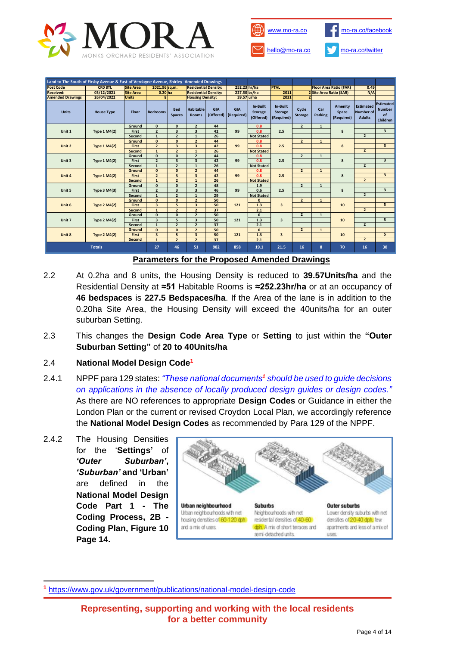



| Land to The South of Firsby Avenue & East of Verdayne Avenue, Shirley -Amended Drawings |                                                                                            |                  |                                              |                                          |                                  |                         |                          |                                         |                                          |                         |                       |                                |                                                       |                                                     |
|-----------------------------------------------------------------------------------------|--------------------------------------------------------------------------------------------|------------------|----------------------------------------------|------------------------------------------|----------------------------------|-------------------------|--------------------------|-----------------------------------------|------------------------------------------|-------------------------|-----------------------|--------------------------------|-------------------------------------------------------|-----------------------------------------------------|
| <b>Post Code</b>                                                                        | CRO 8TL                                                                                    | <b>Site Area</b> | 2021.96 sq.m.<br><b>Residential Density:</b> |                                          | 252.23 hr/ha                     |                         | <b>PTAL</b>              |                                         | <b>Floor Area Ratio (FAR)</b>            |                         | 0.49                  |                                |                                                       |                                                     |
| <b>Received:</b>                                                                        | 03/12/2021                                                                                 | <b>Site Area</b> |                                              | <b>Residential Density:</b><br>$0.20$ ha |                                  | 227.50 bs/ha            |                          | 2011                                    |                                          | 2 Site Area Ratio (SAR) |                       | N/A                            |                                                       |                                                     |
| <b>Amended Drawings</b>                                                                 | 26/04/2022                                                                                 | <b>Units</b>     |                                              |                                          | <b>Housing Density:</b>          |                         | 39.57 u/ha               |                                         | 2031                                     |                         |                       |                                |                                                       |                                                     |
| <b>Units</b>                                                                            | <b>House Type</b>                                                                          | <b>Floor</b>     | <b>Bedrooms</b>                              | <b>Bed</b><br><b>Spaces</b>              | <b>Habitable</b><br><b>Rooms</b> | <b>GIA</b><br>(Offered) | <b>GIA</b><br>(Required) | In-Built<br><b>Storage</b><br>(Offered) | In-Built<br><b>Storage</b><br>(Required) | Cycle<br><b>Storage</b> | Car<br><b>Parking</b> | Amenity<br>Space<br>(Required) | <b>Estimated</b><br><b>Number of</b><br><b>Adults</b> | <b>Estimated</b><br><b>Number</b><br>of<br>Children |
|                                                                                         |                                                                                            | Ground           | $\mathbf{0}$                                 | $\mathbf{0}$                             | $\overline{2}$                   | 44                      | 99                       | 0.8                                     | $\overline{2}$<br>2.5                    | $\mathbf{1}$            |                       |                                |                                                       |                                                     |
| Unit 1                                                                                  | <b>Type 1 M4(2)</b>                                                                        | First            | $\overline{2}$                               | $\overline{\mathbf{3}}$                  | $\overline{\mathbf{3}}$          | 42                      |                          | 0.8                                     |                                          |                         |                       | 8                              |                                                       | 3                                                   |
|                                                                                         |                                                                                            | Second           | $\mathbf{1}$                                 | $\overline{\mathbf{c}}$                  | $\mathbf 1$                      | 26                      |                          | <b>Not Stated</b>                       |                                          |                         |                       |                                | $\overline{2}$                                        |                                                     |
|                                                                                         |                                                                                            | Ground           | $\Omega$                                     | $\mathbf{0}$                             | $\overline{2}$                   | 44                      | 99                       | 0.8                                     | $\overline{2}$<br>2.5                    |                         | $\mathbf{1}$          | 8                              |                                                       |                                                     |
| Unit 2                                                                                  | <b>Type 1 M4(2)</b>                                                                        | <b>First</b>     | $\overline{2}$                               | $\overline{\mathbf{3}}$                  | $\overline{\mathbf{3}}$          | 42                      |                          | 0.8                                     |                                          |                         |                       |                                |                                                       | $\overline{\mathbf{3}}$                             |
|                                                                                         |                                                                                            | Second           | $\mathbf{1}$                                 | $\overline{\mathbf{2}}$                  | ${\bf 1}$                        | 26                      |                          | <b>Not Stated</b>                       |                                          |                         |                       |                                | $\overline{2}$                                        |                                                     |
|                                                                                         | <b>Type 1 M4(2)</b>                                                                        | Ground           | $\mathbf{0}$                                 | $\mathbf{0}$                             | $\overline{\mathbf{c}}$          | 44                      |                          | 0.8                                     |                                          | $\overline{2}$          | $\mathbf{1}$          | 8                              |                                                       |                                                     |
| Unit 3                                                                                  |                                                                                            | First            | $\overline{2}$                               | $\overline{\mathbf{3}}$                  | 3                                | 42                      | 99                       | 0.8                                     | 2.5                                      |                         |                       |                                |                                                       | $\overline{\mathbf{3}}$                             |
|                                                                                         |                                                                                            | Second           | $\mathbf{1}$                                 | $\overline{2}$                           | $\mathbf 1$                      | 26                      |                          | <b>Not Stated</b>                       |                                          |                         |                       |                                | $\overline{2}$                                        |                                                     |
|                                                                                         | <b>Type 1 M4(2)</b>                                                                        | Ground           | $\mathbf{0}$                                 | $\mathbf{0}$                             | $\overline{2}$                   | 44                      | 99                       | 0.8                                     | $\overline{2}$<br>2.5                    |                         | $\mathbf{1}$          | 8                              |                                                       |                                                     |
| Unit 4                                                                                  |                                                                                            | <b>First</b>     | $\overline{2}$                               | $\overline{\mathbf{3}}$                  | $\overline{\mathbf{3}}$          | 42                      |                          | 0.8                                     |                                          |                         |                       |                                |                                                       | $\overline{\mathbf{3}}$                             |
|                                                                                         |                                                                                            | Second           | $\mathbf{1}$                                 | $\overline{2}$                           | $\mathbf{1}$                     | 26                      |                          | <b>Not Stated</b>                       |                                          |                         |                       |                                | $\overline{2}$                                        |                                                     |
|                                                                                         | <b>Type 3 M4(3)</b>                                                                        | Ground           | $\mathbf{0}$                                 | $\mathbf{0}$                             | $\overline{2}$                   | 48                      | 99                       | 1.9                                     | $\overline{2}$<br>2.5                    | $\mathbf{1}$            |                       |                                |                                                       |                                                     |
| Unit 5                                                                                  |                                                                                            | First            | $\overline{2}$                               | $\overline{\mathbf{3}}$                  | $\overline{\mathbf{3}}$          | 46                      |                          | 0.6                                     |                                          |                         |                       | 8                              |                                                       | 3                                                   |
|                                                                                         |                                                                                            | Second           | $\mathbf{1}$                                 | $\overline{2}$                           | $\mathbf{1}$                     | 29                      |                          | <b>Not Stated</b>                       |                                          |                         |                       |                                | $\overline{2}$                                        |                                                     |
| Unit 6                                                                                  | <b>Type 2 M4(2)</b>                                                                        | Ground           | $\mathbf{0}$                                 | $\mathbf{0}$                             | $\overline{2}$                   | 50                      | 121                      | $\mathbf{0}$                            | $\overline{2}$<br>3                      |                         | $\mathbf{1}$          | 10                             |                                                       |                                                     |
|                                                                                         |                                                                                            | First            | 3                                            | 5                                        | $\overline{\mathbf{3}}$          | 50                      |                          | 1.3                                     |                                          |                         |                       |                                |                                                       | 5                                                   |
|                                                                                         |                                                                                            | Second           | $\mathbf{1}$                                 | $\overline{\mathbf{c}}$                  | $\overline{\mathbf{c}}$          | 37                      |                          | 2.1                                     |                                          |                         |                       |                                | $\overline{2}$                                        |                                                     |
| Unit 7                                                                                  | <b>Type 2 M4(2)</b>                                                                        | Ground           | $\mathbf{0}$                                 | $\mathbf{0}$                             | $\overline{2}$                   | 50                      | 121                      | $\mathbf{0}$                            | 3                                        | $\overline{2}$          | $\mathbf{1}$          | 10                             |                                                       |                                                     |
|                                                                                         |                                                                                            | First            | 3                                            | 5                                        | $\overline{\mathbf{3}}$          | 50                      |                          | 1.3                                     |                                          |                         |                       |                                |                                                       | 5                                                   |
|                                                                                         |                                                                                            | Second           | $\mathbf{1}$                                 | $\overline{2}$                           | $\overline{\mathbf{c}}$          | 37                      |                          | 2.1                                     |                                          |                         |                       | $\overline{2}$                 |                                                       |                                                     |
| Unit 8                                                                                  | <b>Type 2 M4(2)</b>                                                                        | Ground           | $\mathbf{0}$                                 | $\mathbf{0}$                             | $\overline{\mathbf{2}}$          | 50                      | 121                      | $\mathbf{0}$                            |                                          | $\overline{2}$          | $\mathbf{1}$          |                                |                                                       |                                                     |
|                                                                                         |                                                                                            | <b>First</b>     | 3                                            | 5                                        | $\overline{\mathbf{3}}$          | 50                      |                          | 1.3                                     | 3                                        |                         | 10                    |                                | 5                                                     |                                                     |
|                                                                                         |                                                                                            | Second           | $\mathbf{1}$                                 | $\overline{2}$                           | $\overline{2}$                   | 37                      |                          | 2.1                                     |                                          |                         |                       |                                | $\overline{2}$                                        |                                                     |
|                                                                                         | <b>Totals</b><br>27<br>46<br>51<br>982<br>858<br>19.1<br>21.5<br>16<br>8<br>16<br>30<br>70 |                  |                                              |                                          |                                  |                         |                          |                                         |                                          |                         |                       |                                |                                                       |                                                     |
| <b>Parameters for the Proposed Amended Drawings</b>                                     |                                                                                            |                  |                                              |                                          |                                  |                         |                          |                                         |                                          |                         |                       |                                |                                                       |                                                     |

2.2 At 0.2ha and 8 units, the Housing Density is reduced to **39.57Units/ha** and the Residential Density at **≈51** Habitable Rooms is **≈252.23hr/ha** or at an occupancy of **46 bedspaces** is **227.5 Bedspaces/ha**. If the Area of the lane is in addition to the 0.20ha Site Area, the Housing Density will exceed the 40units/ha for an outer

2.3 This changes the **Design Code Area Type** or **Setting** to just within the **"Outer Suburban Setting"** of **20 to 40Units/ha**

## 2.4 **National Model Design Code<sup>1</sup>**

suburban Setting.

- 2.4.1 NPPF para 129 states: *"These national documents<sup>1</sup> should be used to guide decisions on applications in the absence of locally produced design guides or design codes."* As there are NO references to appropriate **Design Codes** or Guidance in either the London Plan or the current or revised Croydon Local Plan, we accordingly reference the **National Model Design Codes** as recommended by Para 129 of the NPPF.
- 2.4.2 The Housing Densities for the '**Settings'** of *'Outer Suburban'***,**  *'Suburban'* **and 'Urban'** are defined in the **National Model Design Code Part 1 - The Coding Process, 2B - Coding Plan, Figure 10 Page 14.**



**<sup>1</sup>** <https://www.gov.uk/government/publications/national-model-design-code>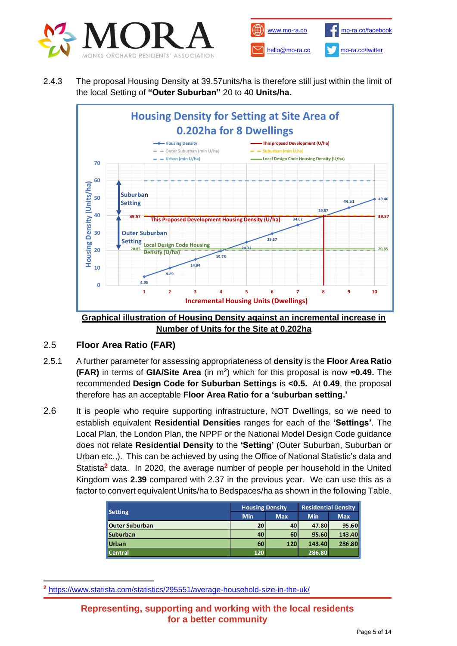



2.4.3 The proposal Housing Density at 39.57units/ha is therefore still just within the limit of the local Setting of **"Outer Suburban"** 20 to 40 **Units/ha.** 



**Number of Units for the Site at 0.202ha**

# 2.5 **Floor Area Ratio (FAR)**

- 2.5.1 A further parameter for assessing appropriateness of **density** is the **Floor Area Ratio (FAR)** in terms of GIA/Site Area (in m<sup>2</sup>) which for this proposal is now ≈0.49. The recommended **Design Code for Suburban Settings** is **<0.5.** At **0.49**, the proposal therefore has an acceptable **Floor Area Ratio for a 'suburban setting.'**
- 2.6 It is people who require supporting infrastructure, NOT Dwellings, so we need to establish equivalent **Residential Densities** ranges for each of the **'Settings'**. The Local Plan, the London Plan, the NPPF or the National Model Design Code guidance does not relate **Residential Density** to the **'Setting'** (Outer Suburban, Suburban or Urban etc.,). This can be achieved by using the Office of National Statistic's data and Statista**<sup>2</sup>** data. In 2020, the average number of people per household in the United Kingdom was **2.39** compared with 2.37 in the previous year. We can use this as a factor to convert equivalent Units/ha to Bedspaces/ha as shown in the following Table.

| Setting               | <b>Housing Density</b> |            | <b>Residential Density</b> |            |  |
|-----------------------|------------------------|------------|----------------------------|------------|--|
|                       | <b>Min</b>             | <b>Max</b> | <b>Min</b>                 | <b>Max</b> |  |
| <b>Outer Suburban</b> | 20                     | 40         | 47.80                      | 95.60      |  |
| <b>Suburban</b>       | 40                     | 60         | 95.60                      | 143.40     |  |
| <b>Urban</b>          | 60                     | 120        | 143.40                     | 286.80     |  |
| <b>Central</b>        | 120                    |            | 286.80                     |            |  |

**<sup>2</sup>** <https://www.statista.com/statistics/295551/average-household-size-in-the-uk/>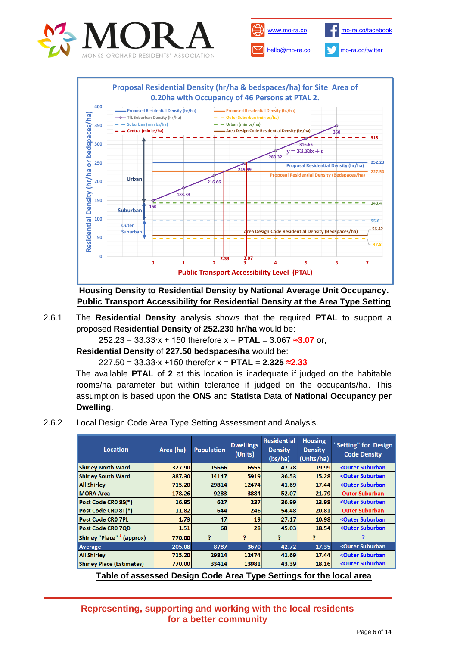

**Public Transport Accessibility Level (PTAL)**

**Housing Density to Residential Density by National Average Unit Occupancy. Public Transport Accessibility for Residential Density at the Area Type Setting**

2.6.1 The **Residential Density** analysis shows that the required **PTAL** to support a proposed **Residential Density** of **252.230 hr/ha** would be:

252.23 = 33.33∙x + 150 therefore x = **PTAL** = 3.067 ≈**3.07** or,

**Residential Density** of **227.50 bedspaces/ha** would be:

227.50 = 33.33∙x +150 therefor x = **PTAL** = **2.325 ≈2.33**

The available **PTAL** of **2** at this location is inadequate if judged on the habitable rooms/ha parameter but within tolerance if judged on the occupants/ha. This assumption is based upon the **ONS** and **Statista** Data of **National Occupancy per Dwelling**.

2.6.2 Local Design Code Area Type Setting Assessment and Analysis.

| Location                         | Area (ha) | <b>Population</b> | <b>Dwellings</b><br>(Units) | <b>Residential</b><br><b>Density</b><br>(bs/ha) | <b>Housing</b><br><b>Density</b><br>(Units/ha) | "Setting" for Design<br><b>Code Density</b> |
|----------------------------------|-----------|-------------------|-----------------------------|-------------------------------------------------|------------------------------------------------|---------------------------------------------|
| <b>Shirley North Ward</b>        | 327.90    | 15666             | 6555                        | 47.78                                           | 19.99                                          | <outer suburban<="" td=""></outer>          |
| <b>Shirley South Ward</b>        | 387.30    | 14147             | 5919                        | 36.53                                           | 15.28                                          | <outer suburban<="" td=""></outer>          |
| <b>All Shirley</b>               | 715.20    | 29814             | 12474                       | 41.69                                           | 17.44                                          | <outer suburban<="" td=""></outer>          |
| <b>MORA Area</b>                 | 178.26    | 9283              | 3884                        | 52.07                                           | 21.79                                          | <b>Outer Suburban</b>                       |
| Post Code CR0 8S(*)              | 16.95     | 627               | 237                         | 36.99                                           | 13.98                                          | <outer suburban<="" td=""></outer>          |
| Post Code CR0 8T(*)              | 11.82     | 644               | 246                         | 54.48                                           | 20.81                                          | <b>Outer Suburban</b>                       |
| <b>Post Code CRO 7PL</b>         | 1.73      | 47                | 19                          | 27.17                                           | 10.98                                          | <outer suburban<="" td=""></outer>          |
| Post Code CR0 7QD                | 1.51      | 68                | 28                          | 45.03                                           | 18.54                                          | <outer suburban<="" td=""></outer>          |
| Shirley "Place" 1 (approx)       | 770.00    | P                 | P                           | p                                               | ş.                                             |                                             |
| Average                          | 205.08    | 8787              | 3670                        | 42.72                                           | 17.35                                          | <outer suburban<="" td=""></outer>          |
| <b>All Shirley</b>               | 715.20    | 29814             | 12474                       | 41.69                                           | 17.44                                          | <outer suburban<="" td=""></outer>          |
| <b>Shirley Place (Estimates)</b> | 770.00    | 33414             | 13981                       | 43.39                                           | 18.16                                          | <outer suburban<="" td=""></outer>          |

**Table of assessed Design Code Area Type Settings for the local area**

**Representing, supporting and working with the local residents for a better community**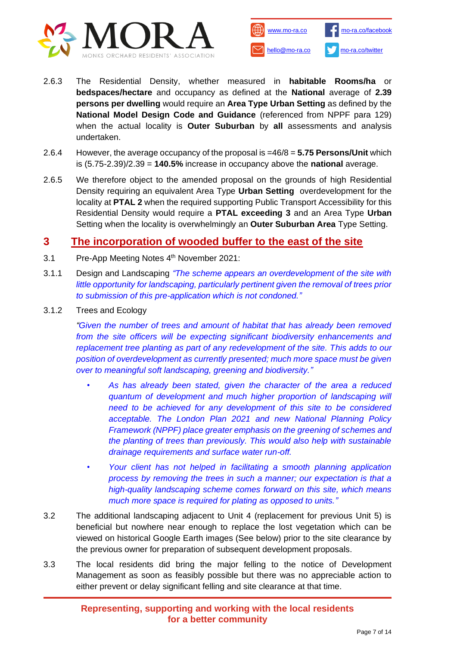



- 2.6.3 The Residential Density, whether measured in **habitable Rooms/ha** or **bedspaces/hectare** and occupancy as defined at the **National** average of **2.39 persons per dwelling** would require an **Area Type Urban Setting** as defined by the **National Model Design Code and Guidance** (referenced from NPPF para 129) when the actual locality is **Outer Suburban** by **all** assessments and analysis undertaken.
- 2.6.4 However, the average occupancy of the proposal is =46/8 = **5.75 Persons/Unit** which is (5.75-2.39)/2.39 = **140.5%** increase in occupancy above the **national** average.
- 2.6.5 We therefore object to the amended proposal on the grounds of high Residential Density requiring an equivalent Area Type **Urban Setting** overdevelopment for the locality at **PTAL 2** when the required supporting Public Transport Accessibility for this Residential Density would require a **PTAL exceeding 3** and an Area Type **Urban** Setting when the locality is overwhelmingly an **Outer Suburban Area** Type Setting.

## **3 The incorporation of wooded buffer to the east of the site**

- 3.1 Pre-App Meeting Notes 4<sup>th</sup> November 2021:
- 3.1.1 Design and Landscaping *"The scheme appears an overdevelopment of the site with little opportunity for landscaping, particularly pertinent given the removal of trees prior to submission of this pre-application which is not condoned."*
- 3.1.2 Trees and Ecology

*"Given the number of trees and amount of habitat that has already been removed from the site officers will be expecting significant biodiversity enhancements and replacement tree planting as part of any redevelopment of the site. This adds to our position of overdevelopment as currently presented; much more space must be given over to meaningful soft landscaping, greening and biodiversity."*

- *• As has already been stated, given the character of the area a reduced quantum of development and much higher proportion of landscaping will need to be achieved for any development of this site to be considered acceptable. The London Plan 2021 and new National Planning Policy Framework (NPPF) place greater emphasis on the greening of schemes and the planting of trees than previously. This would also help with sustainable drainage requirements and surface water run-off.*
- *• Your client has not helped in facilitating a smooth planning application process by removing the trees in such a manner; our expectation is that a high-quality landscaping scheme comes forward on this site, which means much more space is required for plating as opposed to units."*
- 3.2 The additional landscaping adjacent to Unit 4 (replacement for previous Unit 5) is beneficial but nowhere near enough to replace the lost vegetation which can be viewed on historical Google Earth images (See below) prior to the site clearance by the previous owner for preparation of subsequent development proposals.
- 3.3 The local residents did bring the major felling to the notice of Development Management as soon as feasibly possible but there was no appreciable action to either prevent or delay significant felling and site clearance at that time.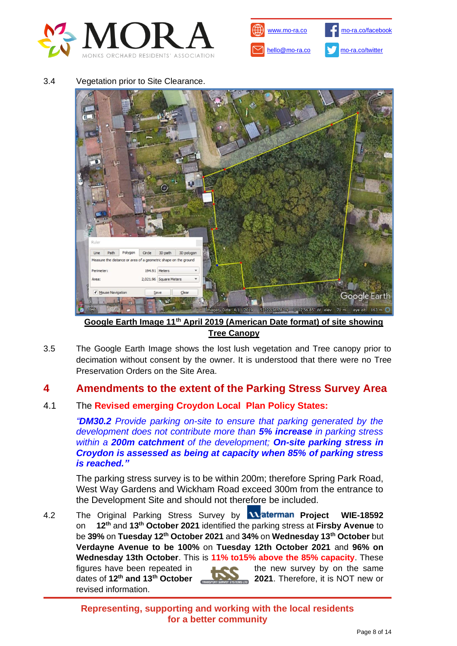



3.4 Vegetation prior to Site Clearance.



**Google Earth Image 11th April 2019 (American Date format) of site showing Tree Canopy**

3.5 The Google Earth Image shows the lost lush vegetation and Tree canopy prior to decimation without consent by the owner. It is understood that there were no Tree Preservation Orders on the Site Area.

## **4 Amendments to the extent of the Parking Stress Survey Area**

## 4.1 The **Revised emerging Croydon Local Plan Policy States:**

*"DM30.2 Provide parking on-site to ensure that parking generated by the development does not contribute more than 5% increase in parking stress within a 200m catchment of the development; On-site parking stress in Croydon is assessed as being at capacity when 85% of parking stress is reached."*

The parking stress survey is to be within 200m; therefore Spring Park Road, West Way Gardens and Wickham Road exceed 300m from the entrance to the Development Site and should not therefore be included.

4.2 The Original Parking Stress Survey by **Waterman Project WIE-18592** on **12th** and **13th October 2021** identified the parking stress at **Firsby Avenue** to be **39%** on **Tuesday 12th October 2021** and **34%** on **Wednesday 13th October** but **Verdayne Avenue to be 100%** on **Tuesday 12th October 2021** and **96% on Wednesday 13th October**. This is **11% to15% above the 85% capacity**. These figures have been repeated in **the new survey by on the same** dates of **12th and 13th October 2021**. Therefore, it is NOT new or revised information.

> **Representing, supporting and working with the local residents for a better community**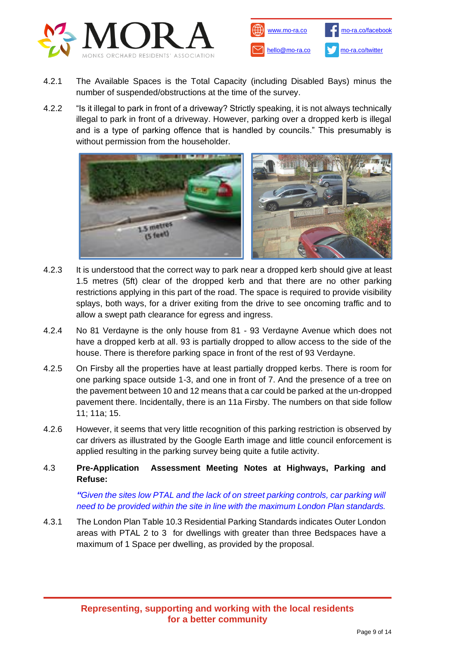



- 4.2.1 The Available Spaces is the Total Capacity (including Disabled Bays) minus the number of suspended/obstructions at the time of the survey.
- 4.2.2 "Is it illegal to park in front of a driveway? Strictly speaking, it is not always technically illegal to park in front of a driveway. However, parking over a dropped kerb is illegal and is a type of parking offence that is handled by councils." This presumably is without permission from the householder.



- 4.2.3 It is understood that the correct way to park near a dropped kerb should give at least 1.5 metres (5ft) clear of the dropped kerb and that there are no other parking restrictions applying in this part of the road. The space is required to provide visibility splays, both ways, for a driver exiting from the drive to see oncoming traffic and to allow a swept path clearance for egress and ingress.
- 4.2.4 No 81 Verdayne is the only house from 81 93 Verdayne Avenue which does not have a dropped kerb at all. 93 is partially dropped to allow access to the side of the house. There is therefore parking space in front of the rest of 93 Verdayne.
- 4.2.5 On Firsby all the properties have at least partially dropped kerbs. There is room for one parking space outside 1-3, and one in front of 7. And the presence of a tree on the pavement between 10 and 12 means that a car could be parked at the un-dropped pavement there. Incidentally, there is an 11a Firsby. The numbers on that side follow 11; 11a; 15.
- 4.2.6 However, it seems that very little recognition of this parking restriction is observed by car drivers as illustrated by the Google Earth image and little council enforcement is applied resulting in the parking survey being quite a futile activity.
- 4.3 **Pre-Application Assessment Meeting Notes at Highways, Parking and Refuse:**

*"Given the sites low PTAL and the lack of on street parking controls, car parking will need to be provided within the site in line with the maximum London Plan standards.* 

4.3.1 The London Plan Table 10.3 Residential Parking Standards indicates Outer London areas with PTAL 2 to 3 for dwellings with greater than three Bedspaces have a maximum of 1 Space per dwelling, as provided by the proposal.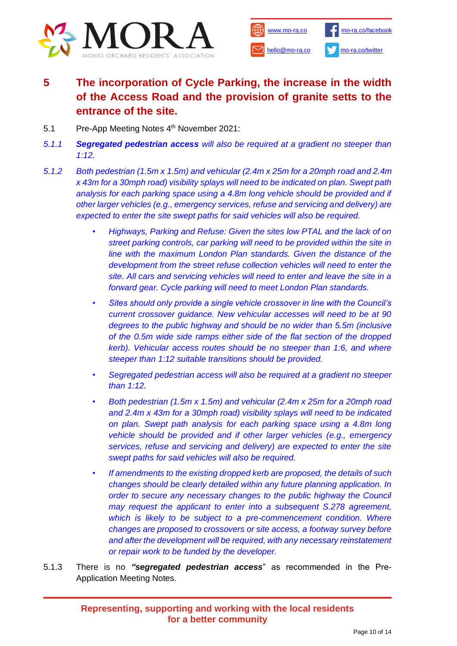



# **5 The incorporation of Cycle Parking, the increase in the width of the Access Road and the provision of granite setts to the entrance of the site.**

- 5.1 Pre-App Meeting Notes 4<sup>th</sup> November 2021:
- *5.1.1 Segregated pedestrian access will also be required at a gradient no steeper than 1:12.*
- *5.1.2 Both pedestrian (1.5m x 1.5m) and vehicular (2.4m x 25m for a 20mph road and 2.4m x 43m for a 30mph road) visibility splays will need to be indicated on plan. Swept path analysis for each parking space using a 4.8m long vehicle should be provided and if other larger vehicles (e.g., emergency services, refuse and servicing and delivery) are expected to enter the site swept paths for said vehicles will also be required.*
	- *Highways, Parking and Refuse: Given the sites low PTAL and the lack of on street parking controls, car parking will need to be provided within the site in line with the maximum London Plan standards. Given the distance of the development from the street refuse collection vehicles will need to enter the site. All cars and servicing vehicles will need to enter and leave the site in a forward gear. Cycle parking will need to meet London Plan standards.*
	- *• Sites should only provide a single vehicle crossover in line with the Council's current crossover guidance. New vehicular accesses will need to be at 90 degrees to the public highway and should be no wider than 5.5m (inclusive of the 0.5m wide side ramps either side of the flat section of the dropped kerb). Vehicular access routes should be no steeper than 1:6, and where steeper than 1:12 suitable transitions should be provided.*
	- *• Segregated pedestrian access will also be required at a gradient no steeper than 1:12.*
	- *• Both pedestrian (1.5m x 1.5m) and vehicular (2.4m x 25m for a 20mph road and 2.4m x 43m for a 30mph road) visibility splays will need to be indicated on plan. Swept path analysis for each parking space using a 4.8m long vehicle should be provided and if other larger vehicles (e.g., emergency services, refuse and servicing and delivery) are expected to enter the site swept paths for said vehicles will also be required.*
	- *• If amendments to the existing dropped kerb are proposed, the details of such changes should be clearly detailed within any future planning application. In order to secure any necessary changes to the public highway the Council may request the applicant to enter into a subsequent S.278 agreement, which is likely to be subject to a pre-commencement condition. Where changes are proposed to crossovers or site access, a footway survey before and after the development will be required, with any necessary reinstatement or repair work to be funded by the developer.*
- 5.1.3 There is no *"segregated pedestrian access*" as recommended in the Pre-Application Meeting Notes.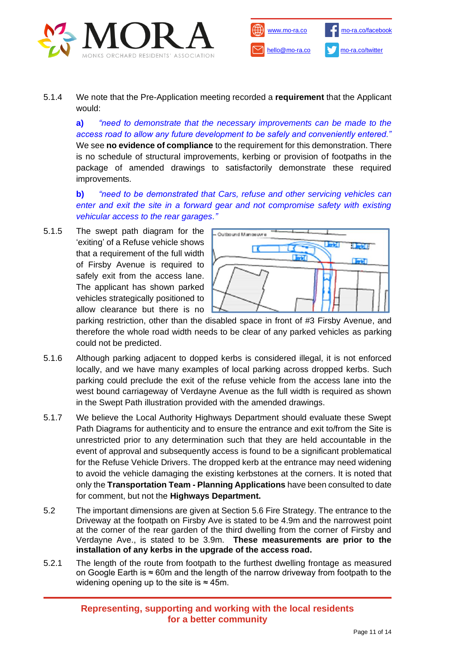



5.1.4 We note that the Pre-Application meeting recorded a **requirement** that the Applicant would:

**a)** *"need to demonstrate that the necessary improvements can be made to the access road to allow any future development to be safely and conveniently entered."* We see **no evidence of compliance** to the requirement for this demonstration. There is no schedule of structural improvements, kerbing or provision of footpaths in the package of amended drawings to satisfactorily demonstrate these required improvements.

**b)** *"need to be demonstrated that Cars, refuse and other servicing vehicles can enter and exit the site in a forward gear and not compromise safety with existing vehicular access to the rear garages."*

5.1.5 The swept path diagram for the 'exiting' of a Refuse vehicle shows that a requirement of the full width of Firsby Avenue is required to safely exit from the access lane. The applicant has shown parked vehicles strategically positioned to allow clearance but there is no



parking restriction, other than the disabled space in front of #3 Firsby Avenue, and therefore the whole road width needs to be clear of any parked vehicles as parking could not be predicted.

- 5.1.6 Although parking adjacent to dopped kerbs is considered illegal, it is not enforced locally, and we have many examples of local parking across dropped kerbs. Such parking could preclude the exit of the refuse vehicle from the access lane into the west bound carriageway of Verdayne Avenue as the full width is required as shown in the Swept Path illustration provided with the amended drawings.
- 5.1.7 We believe the Local Authority Highways Department should evaluate these Swept Path Diagrams for authenticity and to ensure the entrance and exit to/from the Site is unrestricted prior to any determination such that they are held accountable in the event of approval and subsequently access is found to be a significant problematical for the Refuse Vehicle Drivers. The dropped kerb at the entrance may need widening to avoid the vehicle damaging the existing kerbstones at the corners. It is noted that only the **Transportation Team - Planning Applications** have been consulted to date for comment, but not the **Highways Department.**
- 5.2 The important dimensions are given at Section 5.6 Fire Strategy. The entrance to the Driveway at the footpath on Firsby Ave is stated to be 4.9m and the narrowest point at the corner of the rear garden of the third dwelling from the corner of Firsby and Verdayne Ave., is stated to be 3.9m. **These measurements are prior to the installation of any kerbs in the upgrade of the access road.**
- 5.2.1 The length of the route from footpath to the furthest dwelling frontage as measured on Google Earth is ≈ 60m and the length of the narrow driveway from footpath to the widening opening up to the site is  $\approx 45$ m.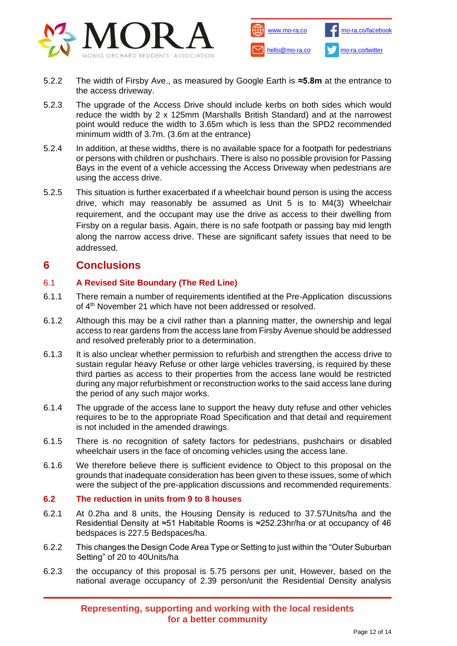



- 5.2.2 The width of Firsby Ave., as measured by Google Earth is **≈5.8m** at the entrance to the access driveway.
- 5.2.3 The upgrade of the Access Drive should include kerbs on both sides which would reduce the width by 2 x 125mm (Marshalls British Standard) and at the narrowest point would reduce the width to 3.65m which is less than the SPD2 recommended minimum width of 3.7m. (3.6m at the entrance)
- 5.2.4 In addition, at these widths, there is no available space for a footpath for pedestrians or persons with children or pushchairs. There is also no possible provision for Passing Bays in the event of a vehicle accessing the Access Driveway when pedestrians are using the access drive.
- 5.2.5 This situation is further exacerbated if a wheelchair bound person is using the access drive, which may reasonably be assumed as Unit 5 is to M4(3) Wheelchair requirement, and the occupant may use the drive as access to their dwelling from Firsby on a regular basis. Again, there is no safe footpath or passing bay mid length along the narrow access drive. These are significant safety issues that need to be addressed.

# **6 Conclusions**

## 6.1 **A Revised Site Boundary (The Red Line)**

- 6.1.1 There remain a number of requirements identified at the Pre-Application discussions of 4<sup>th</sup> November 21 which have not been addressed or resolved.
- 6.1.2 Although this may be a civil rather than a planning matter, the ownership and legal access to rear gardens from the access lane from Firsby Avenue should be addressed and resolved preferably prior to a determination.
- 6.1.3 It is also unclear whether permission to refurbish and strengthen the access drive to sustain regular heavy Refuse or other large vehicles traversing, is required by these third parties as access to their properties from the access lane would be restricted during any major refurbishment or reconstruction works to the said access lane during the period of any such major works.
- 6.1.4 The upgrade of the access lane to support the heavy duty refuse and other vehicles requires to be to the appropriate Road Specification and that detail and requirement is not included in the amended drawings.
- 6.1.5 There is no recognition of safety factors for pedestrians, pushchairs or disabled wheelchair users in the face of oncoming vehicles using the access lane.
- 6.1.6 We therefore believe there is sufficient evidence to Object to this proposal on the grounds that inadequate consideration has been given to these issues, some of which were the subject of the pre-application discussions and recommended requirements.

### **6.2 The reduction in units from 9 to 8 houses**

- 6.2.1 At 0.2ha and 8 units, the Housing Density is reduced to 37.57Units/ha and the Residential Density at ≈51 Habitable Rooms is ≈252.23hr/ha or at occupancy of 46 bedspaces is 227.5 Bedspaces/ha.
- 6.2.2 This changes the Design Code Area Type or Setting to just within the "Outer Suburban Setting" of 20 to 40Units/ha
- 6.2.3 the occupancy of this proposal is 5.75 persons per unit, However, based on the national average occupancy of 2.39 person/unit the Residential Density analysis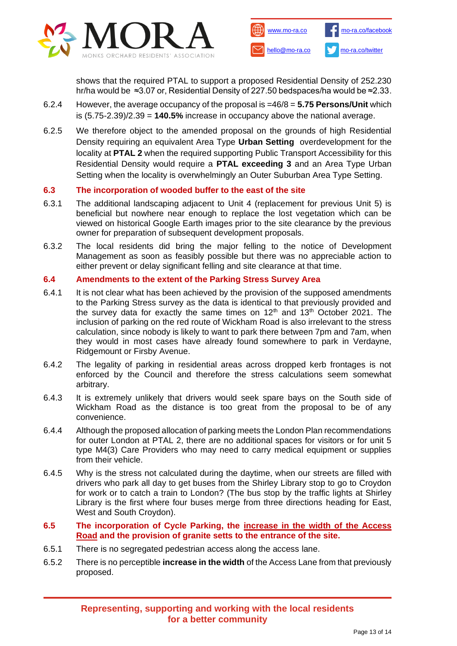



shows that the required PTAL to support a proposed Residential Density of 252.230 hr/ha would be ≈3.07 or, Residential Density of 227.50 bedspaces/ha would be ≈2.33.

- 6.2.4 However, the average occupancy of the proposal is =46/8 = **5.75 Persons/Unit** which is (5.75-2.39)/2.39 = **140.5%** increase in occupancy above the national average.
- 6.2.5 We therefore object to the amended proposal on the grounds of high Residential Density requiring an equivalent Area Type **Urban Setting** overdevelopment for the locality at **PTAL 2** when the required supporting Public Transport Accessibility for this Residential Density would require a **PTAL exceeding 3** and an Area Type Urban Setting when the locality is overwhelmingly an Outer Suburban Area Type Setting.

### **6.3 The incorporation of wooded buffer to the east of the site**

- 6.3.1 The additional landscaping adjacent to Unit 4 (replacement for previous Unit 5) is beneficial but nowhere near enough to replace the lost vegetation which can be viewed on historical Google Earth images prior to the site clearance by the previous owner for preparation of subsequent development proposals.
- 6.3.2 The local residents did bring the major felling to the notice of Development Management as soon as feasibly possible but there was no appreciable action to either prevent or delay significant felling and site clearance at that time.

### **6.4 Amendments to the extent of the Parking Stress Survey Area**

- 6.4.1 It is not clear what has been achieved by the provision of the supposed amendments to the Parking Stress survey as the data is identical to that previously provided and the survey data for exactly the same times on  $12<sup>th</sup>$  and  $13<sup>th</sup>$  October 2021. The inclusion of parking on the red route of Wickham Road is also irrelevant to the stress calculation, since nobody is likely to want to park there between 7pm and 7am, when they would in most cases have already found somewhere to park in Verdayne, Ridgemount or Firsby Avenue.
- 6.4.2 The legality of parking in residential areas across dropped kerb frontages is not enforced by the Council and therefore the stress calculations seem somewhat arbitrary.
- 6.4.3 It is extremely unlikely that drivers would seek spare bays on the South side of Wickham Road as the distance is too great from the proposal to be of any convenience.
- 6.4.4 Although the proposed allocation of parking meets the London Plan recommendations for outer London at PTAL 2, there are no additional spaces for visitors or for unit 5 type M4(3) Care Providers who may need to carry medical equipment or supplies from their vehicle.
- 6.4.5 Why is the stress not calculated during the daytime, when our streets are filled with drivers who park all day to get buses from the Shirley Library stop to go to Croydon for work or to catch a train to London? (The bus stop by the traffic lights at Shirley Library is the first where four buses merge from three directions heading for East, West and South Croydon).
- **6.5 The incorporation of Cycle Parking, the increase in the width of the Access Road and the provision of granite setts to the entrance of the site.**
- 6.5.1 There is no segregated pedestrian access along the access lane.
- 6.5.2 There is no perceptible **increase in the width** of the Access Lane from that previously proposed.